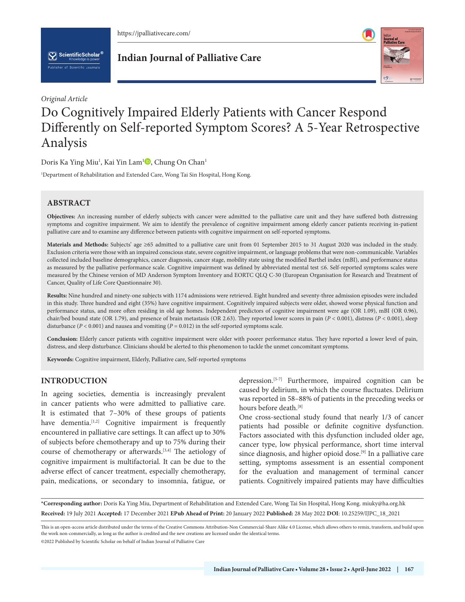

 $\left[\bigvee_{k}\right]$  ScientificScholar<sup>®</sup>



## *Original Article*

# Do Cognitively Impaired Elderly Patients with Cancer Respond Differently on Self-reported Symptom Scores? A 5-Year Retrospective Analysis

Doris Ka Ying Miu<sup>1</sup>[,](https://orcid.org/0000-0002-4630-1867) Kai Yin Lam<sup>1</sup>®, Chung On Chan<sup>1</sup>

1 Department of Rehabilitation and Extended Care, Wong Tai Sin Hospital, Hong Kong.

# **ABSTRACT**

**Objectives:** An increasing number of elderly subjects with cancer were admitted to the palliative care unit and they have suffered both distressing symptoms and cognitive impairment. We aim to identify the prevalence of cognitive impairment among elderly cancer patients receiving in-patient palliative care and to examine any difference between patients with cognitive impairment on self-reported symptoms.

Materials and Methods: Subjects' age ≥65 admitted to a palliative care unit from 01 September 2015 to 31 August 2020 was included in the study. Exclusion criteria were those with an impaired conscious state, severe cognitive impairment, or language problems that were non-communicable. Variables collected included baseline demographics, cancer diagnosis, cancer stage, mobility state using the modified Barthel index (mBI), and performance status as measured by the palliative performance scale. Cognitive impairment was defined by abbreviated mental test ≤6. Self-reported symptoms scales were measured by the Chinese version of MD Anderson Symptom Inventory and EORTC QLQ C-30 (European Organisation for Research and Treatment of Cancer, Quality of Life Core Questionnaire 30).

**Results:** Nine hundred and ninety-one subjects with 1174 admissions were retrieved. Eight hundred and seventy-three admission episodes were included in this study. Three hundred and eight (35%) have cognitive impairment. Cognitively impaired subjects were older, showed worse physical function and performance status, and more often residing in old age homes. Independent predictors of cognitive impairment were age (OR 1.09), mBI (OR 0.96), chair/bed bound state (OR 1.79), and presence of brain metastasis (OR 2.63). They reported lower scores in pain (*P* < 0.001), distress (*P* < 0.001), sleep disturbance (*P* < 0.001) and nausea and vomiting (*P* = 0.012) in the self-reported symptoms scale.

**Conclusion:** Elderly cancer patients with cognitive impairment were older with poorer performance status. They have reported a lower level of pain, distress, and sleep disturbance. Clinicians should be alerted to this phenomenon to tackle the unmet concomitant symptoms.

**Keywords:** Cognitive impairment, Elderly, Palliative care, Self-reported symptoms

## **INTRODUCTION**

In ageing societies, dementia is increasingly prevalent in cancer patients who were admitted to palliative care. It is estimated that 7–30% of these groups of patients have dementia.<sup>[1,2]</sup> Cognitive impairment is frequently encountered in palliative care settings. It can affect up to 30% of subjects before chemotherapy and up to 75% during their course of chemotherapy or afterwards.[3,4] The aetiology of cognitive impairment is multifactorial. It can be due to the adverse effect of cancer treatment, especially chemotherapy, pain, medications, or secondary to insomnia, fatigue, or

depression.<sup>[5-7]</sup> Furthermore, impaired cognition can be caused by delirium, in which the course fluctuates. Delirium was reported in 58–88% of patients in the preceding weeks or hours before death.<sup>[8]</sup>

One cross-sectional study found that nearly 1/3 of cancer patients had possible or definite cognitive dysfunction. Factors associated with this dysfunction included older age, cancer type, low physical performance, short time interval since diagnosis, and higher opioid dose.<sup>[9]</sup> In a palliative care setting, symptoms assessment is an essential component for the evaluation and management of terminal cancer patients. Cognitively impaired patients may have difficulties

**\*Corresponding author:** Doris Ka Ying Miu, Department of Rehabilitation and Extended Care, Wong Tai Sin Hospital, Hong Kong. miuky@ha.org.hk **Received:** 19 July 2021 **Accepted:** 17 December 2021 **EPub Ahead of Print:** 20 January 2022 **Published:** 28 May 2022 **DOI**[: 10.25259/IJPC\\_18\\_2021](https://dx.doi.org/10.25259/IJPC_18_2021)

This is an open-access article distributed under the terms of the Creative Commons Attribution-Non Commercial-Share Alike 4.0 License, which allows others to remix, transform, and build upon the work non-commercially, as long as the author is credited and the new creations are licensed under the identical terms.

©2022 Published by Scientific Scholar on behalf of Indian Journal of Palliative Care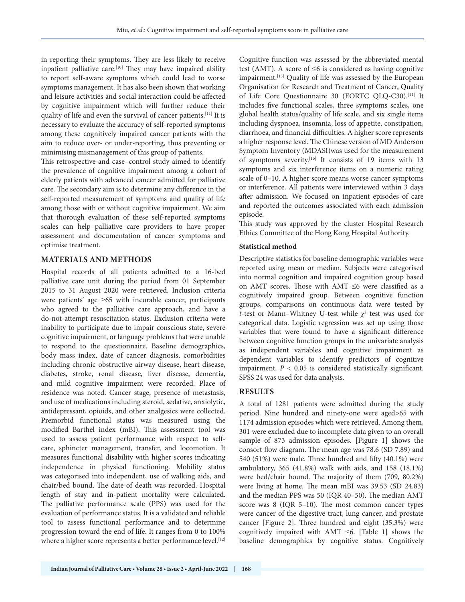in reporting their symptoms. They are less likely to receive inpatient palliative care.<sup>[10]</sup> They may have impaired ability to report self-aware symptoms which could lead to worse symptoms management. It has also been shown that working and leisure activities and social interaction could be affected by cognitive impairment which will further reduce their quality of life and even the survival of cancer patients.[11] It is necessary to evaluate the accuracy of self-reported symptoms among these cognitively impaired cancer patients with the aim to reduce over- or under-reporting, thus preventing or minimising mismanagement of this group of patients.

This retrospective and case–control study aimed to identify the prevalence of cognitive impairment among a cohort of elderly patients with advanced cancer admitted for palliative care. The secondary aim is to determine any difference in the self-reported measurement of symptoms and quality of life among those with or without cognitive impairment. We aim that thorough evaluation of these self-reported symptoms scales can help palliative care providers to have proper assessment and documentation of cancer symptoms and optimise treatment.

## **MATERIALS AND METHODS**

Hospital records of all patients admitted to a 16-bed palliative care unit during the period from 01 September 2015 to 31 August 2020 were retrieved. Inclusion criteria were patients' age ≥65 with incurable cancer, participants who agreed to the palliative care approach, and have a do-not-attempt resuscitation status. Exclusion criteria were inability to participate due to impair conscious state, severe cognitive impairment, or language problems that were unable to respond to the questionnaire. Baseline demographics, body mass index, date of cancer diagnosis, comorbidities including chronic obstructive airway disease, heart disease, diabetes, stroke, renal disease, liver disease, dementia, and mild cognitive impairment were recorded. Place of residence was noted. Cancer stage, presence of metastasis, and use of medications including steroid, sedative, anxiolytic, antidepressant, opioids, and other analgesics were collected. Premorbid functional status was measured using the modified Barthel index (mBI). This assessment tool was used to assess patient performance with respect to selfcare, sphincter management, transfer, and locomotion. It measures functional disability with higher scores indicating independence in physical functioning. Mobility status was categorised into independent, use of walking aids, and chair/bed bound. The date of death was recorded. Hospital length of stay and in-patient mortality were calculated. The palliative performance scale (PPS) was used for the evaluation of performance status. It is a validated and reliable tool to assess functional performance and to determine progression toward the end of life. It ranges from 0 to 100% where a higher score represents a better performance level.<sup>[12]</sup> Cognitive function was assessed by the abbreviated mental test (AMT). A score of  $\leq 6$  is considered as having cognitive impairment.[13] Quality of life was assessed by the European Organisation for Research and Treatment of Cancer, Quality of Life Core Questionnaire 30 (EORTC QLQ-C30).[14] It includes five functional scales, three symptoms scales, one global health status/quality of life scale, and six single items including dyspnoea, insomnia, loss of appetite, constipation, diarrhoea, and financial difficulties. A higher score represents a higher response level. The Chinese version of MD Anderson Symptom Inventory (MDASI)was used for the measurement of symptoms severity.[15] It consists of 19 items with 13 symptoms and six interference items on a numeric rating scale of 0–10. A higher score means worse cancer symptoms or interference. All patients were interviewed within 3 days after admission. We focused on inpatient episodes of care and reported the outcomes associated with each admission episode.

This study was approved by the cluster Hospital Research Ethics Committee of the Hong Kong Hospital Authority.

## **Statistical method**

Descriptive statistics for baseline demographic variables were reported using mean or median. Subjects were categorised into normal cognition and impaired cognition group based on AMT scores. Those with AMT ≤6 were classified as a cognitively impaired group. Between cognitive function groups, comparisons on continuous data were tested by *t*-test or Mann–Whitney U-test while  $\chi^2$  test was used for categorical data. Logistic regression was set up using those variables that were found to have a significant difference between cognitive function groups in the univariate analysis as independent variables and cognitive impairment as dependent variables to identify predictors of cognitive impairment.  $P < 0.05$  is considered statistically significant. SPSS 24 was used for data analysis.

## **RESULTS**

A total of 1281 patients were admitted during the study period. Nine hundred and ninety-one were aged>65 with 1174 admission episodes which were retrieved. Among them, 301 were excluded due to incomplete data given to an overall sample of 873 admission episodes. [Figure 1] shows the consort flow diagram. The mean age was 78.6 (SD 7.89) and 540 (51%) were male. Three hundred and fifty (40.1%) were ambulatory, 365 (41.8%) walk with aids, and 158 (18.1%) were bed/chair bound. The majority of them (709, 80.2%) were living at home. The mean mBI was 39.53 (SD 24.83) and the median PPS was 50 (IQR 40–50). The median AMT score was 8 (IQR 5–10). The most common cancer types were cancer of the digestive tract, lung cancer, and prostate cancer [Figure 2]. Three hundred and eight (35.3%) were cognitively impaired with AMT  $\leq 6$ . [Table 1] shows the baseline demographics by cognitive status. Cognitively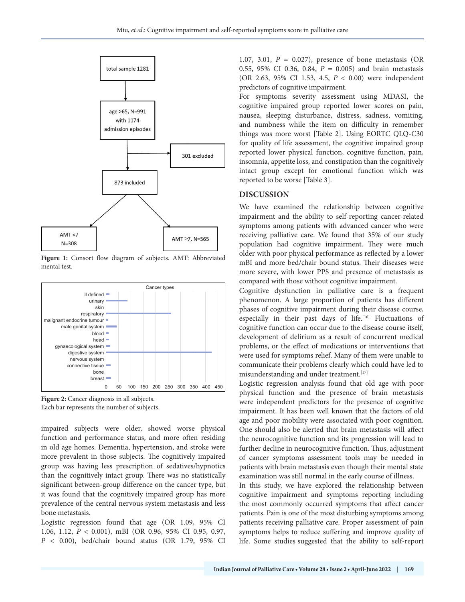

**Figure 1:** Consort flow diagram of subjects. AMT: Abbreviated mental test.



**Figure 2:** Cancer diagnosis in all subjects. Each bar represents the number of subjects.

impaired subjects were older, showed worse physical function and performance status, and more often residing in old age homes. Dementia, hypertension, and stroke were more prevalent in those subjects. The cognitively impaired group was having less prescription of sedatives/hypnotics than the cognitively intact group. There was no statistically significant between-group difference on the cancer type, but it was found that the cognitively impaired group has more prevalence of the central nervous system metastasis and less bone metastasis.

Logistic regression found that age (OR 1.09, 95% CI 1.06, 1.12, *P* < 0.001), mBI (OR 0.96, 95% CI 0.95, 0.97, *P* < 0.00), bed/chair bound status (OR 1.79, 95% CI 1.07, 3.01, *P* = 0.027), presence of bone metastasis (OR 0.55, 95% CI 0.36, 0.84, *P* = 0.005) and brain metastasis (OR 2.63, 95% CI 1.53, 4.5, *P* < 0.00) were independent predictors of cognitive impairment.

For symptoms severity assessment using MDASI, the cognitive impaired group reported lower scores on pain, nausea, sleeping disturbance, distress, sadness, vomiting, and numbness while the item on difficulty in remember things was more worst [Table 2]. Using EORTC QLQ-C30 for quality of life assessment, the cognitive impaired group reported lower physical function, cognitive function, pain, insomnia, appetite loss, and constipation than the cognitively intact group except for emotional function which was reported to be worse [Table 3].

#### **DISCUSSION**

We have examined the relationship between cognitive impairment and the ability to self-reporting cancer-related symptoms among patients with advanced cancer who were receiving palliative care. We found that 35% of our study population had cognitive impairment. They were much older with poor physical performance as reflected by a lower mBI and more bed/chair bound status. Their diseases were more severe, with lower PPS and presence of metastasis as compared with those without cognitive impairment.

Cognitive dysfunction in palliative care is a frequent phenomenon. A large proportion of patients has different phases of cognitive impairment during their disease course, especially in their past days of life.<sup>[16]</sup> Fluctuations of cognitive function can occur due to the disease course itself, development of delirium as a result of concurrent medical problems, or the effect of medications or interventions that were used for symptoms relief. Many of them were unable to communicate their problems clearly which could have led to misunderstanding and under treatment.<sup>[17]</sup>

Logistic regression analysis found that old age with poor physical function and the presence of brain metastasis were independent predictors for the presence of cognitive impairment. It has been well known that the factors of old age and poor mobility were associated with poor cognition. One should also be alerted that brain metastasis will affect the neurocognitive function and its progression will lead to further decline in neurocognitive function. Thus, adjustment of cancer symptoms assessment tools may be needed in patients with brain metastasis even though their mental state examination was still normal in the early course of illness.

In this study, we have explored the relationship between cognitive impairment and symptoms reporting including the most commonly occurred symptoms that affect cancer patients. Pain is one of the most disturbing symptoms among patients receiving palliative care. Proper assessment of pain symptoms helps to reduce suffering and improve quality of life. Some studies suggested that the ability to self-report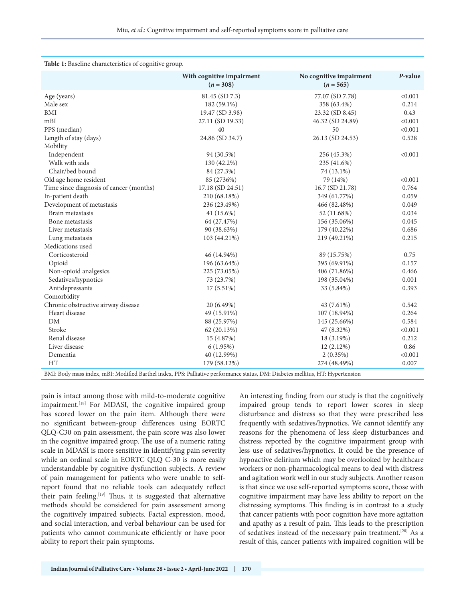| Table 1: Baseline characteristics of cognitive group.                                                                          |                                          |                                        |         |  |  |
|--------------------------------------------------------------------------------------------------------------------------------|------------------------------------------|----------------------------------------|---------|--|--|
|                                                                                                                                | With cognitive impairment<br>$(n = 308)$ | No cognitive impairment<br>$(n = 565)$ | P-value |  |  |
| Age (years)                                                                                                                    | 81.45 (SD 7.3)                           | 77.07 (SD 7.78)                        | < 0.001 |  |  |
| Male sex                                                                                                                       | 182 (59.1%)                              | 358 (63.4%)                            | 0.214   |  |  |
| <b>BMI</b>                                                                                                                     | 19.47 (SD 3.98)                          | 23.32 (SD 8.45)                        | 0.43    |  |  |
| mBI                                                                                                                            | 27.11 (SD 19.33)                         | 46.32 (SD 24.89)                       | < 0.001 |  |  |
| PPS (median)                                                                                                                   | 40                                       | 50                                     | < 0.001 |  |  |
| Length of stay (days)                                                                                                          | 24.86 (SD 34.7)                          | 26.13 (SD 24.53)                       | 0.528   |  |  |
| Mobility                                                                                                                       |                                          |                                        |         |  |  |
| Independent                                                                                                                    | 94 (30.5%)                               | 256 (45.3%)                            | < 0.001 |  |  |
| Walk with aids                                                                                                                 | 130 (42.2%)                              | 235 (41.6%)                            |         |  |  |
| Chair/bed bound                                                                                                                | 84 (27.3%)                               | 74 (13.1%)                             |         |  |  |
| Old age home resident                                                                                                          | 85 (2736%)                               | 79 (14%)                               | < 0.001 |  |  |
| Time since diagnosis of cancer (months)                                                                                        | 17.18 (SD 24.51)                         | 16.7 (SD 21.78)                        | 0.764   |  |  |
| In-patient death                                                                                                               | 210 (68.18%)                             | 349 (61.77%)                           | 0.059   |  |  |
| Development of metastasis                                                                                                      | 236 (23.49%)                             | 466 (82.48%)                           | 0.049   |  |  |
| Brain metastasis                                                                                                               | 41 $(15.6\%)$                            | 52 (11.68%)                            | 0.034   |  |  |
| Bone metastasis                                                                                                                | 64 (27.47%)                              | 156 (35.06%)                           | 0.045   |  |  |
| Liver metastasis                                                                                                               | 90 (38.63%)                              | 179 (40.22%)                           | 0.686   |  |  |
| Lung metastasis                                                                                                                | 103 (44.21%)                             | 219 (49.21%)                           | 0.215   |  |  |
| Medications used                                                                                                               |                                          |                                        |         |  |  |
| Corticosteroid                                                                                                                 | 46 (14.94%)                              | 89 (15.75%)                            | 0.75    |  |  |
| Opioid                                                                                                                         | 196 (63.64%)                             | 395 (69.91%)                           | 0.157   |  |  |
| Non-opioid analgesics                                                                                                          | 225 (73.05%)                             | 406 (71.86%)                           | 0.466   |  |  |
| Sedatives/hypnotics                                                                                                            | 73 (23.7%)                               | 198 (35.04%)                           | 0.001   |  |  |
| Antidepressants                                                                                                                | $17(5.51\%)$                             | 33 (5.84%)                             | 0.393   |  |  |
| Comorbidity                                                                                                                    |                                          |                                        |         |  |  |
| Chronic obstructive airway disease                                                                                             | 20 (6.49%)                               | 43 (7.61%)                             | 0.542   |  |  |
| Heart disease                                                                                                                  | 49 (15.91%)                              | 107 (18.94%)                           | 0.264   |  |  |
| ${\rm DM}$                                                                                                                     | 88 (25.97%)                              | 145 (25.66%)                           | 0.584   |  |  |
| Stroke                                                                                                                         | 62 (20.13%)                              | 47 (8.32%)                             | < 0.001 |  |  |
| Renal disease                                                                                                                  | 15 (4.87%)                               | 18 (3.19%)                             | 0.212   |  |  |
| Liver disease                                                                                                                  | 6(1.95%)                                 | $12(2.12\%)$                           | 0.86    |  |  |
| Dementia                                                                                                                       | 40 (12.99%)                              | 2(0.35%)                               | < 0.001 |  |  |
| <b>HT</b>                                                                                                                      | 179 (58.12%)                             | 274 (48.49%)                           | 0.007   |  |  |
| BMI: Body mass index, mBI: Modified Barthel index, PPS: Palliative performance status, DM: Diabetes mellitus, HT: Hypertension |                                          |                                        |         |  |  |

pain is intact among those with mild-to-moderate cognitive impairment.<sup>[18]</sup> For MDASI, the cognitive impaired group has scored lower on the pain item. Although there were no significant between-group differences using EORTC QLQ-C30 on pain assessment, the pain score was also lower in the cognitive impaired group. The use of a numeric rating scale in MDASI is more sensitive in identifying pain severity while an ordinal scale in EORTC QLQ C-30 is more easily understandable by cognitive dysfunction subjects. A review of pain management for patients who were unable to selfreport found that no reliable tools can adequately reflect their pain feeling.<sup>[19]</sup> Thus, it is suggested that alternative methods should be considered for pain assessment among the cognitively impaired subjects. Facial expression, mood, and social interaction, and verbal behaviour can be used for patients who cannot communicate efficiently or have poor ability to report their pain symptoms.

An interesting finding from our study is that the cognitively impaired group tends to report lower scores in sleep disturbance and distress so that they were prescribed less frequently with sedatives/hypnotics. We cannot identify any reasons for the phenomena of less sleep disturbances and distress reported by the cognitive impairment group with less use of sedatives/hypnotics. It could be the presence of hypoactive delirium which may be overlooked by healthcare workers or non-pharmacological means to deal with distress and agitation work well in our study subjects. Another reason is that since we use self-reported symptoms score, those with cognitive impairment may have less ability to report on the distressing symptoms. This finding is in contrast to a study that cancer patients with poor cognition have more agitation and apathy as a result of pain. This leads to the prescription of sedatives instead of the necessary pain treatment.[20] As a result of this, cancer patients with impaired cognition will be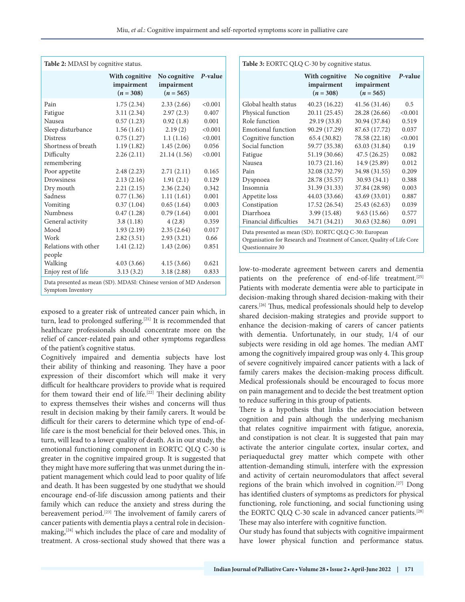| <b>Table 2:</b> MDASI by cognitive status.                                                                                                                                                                                                                                                                         |                                                                                                                                                                                                                                                                      |                                                                                                                                                                                                                                                              |                                                                                                                                                                                |  |  |
|--------------------------------------------------------------------------------------------------------------------------------------------------------------------------------------------------------------------------------------------------------------------------------------------------------------------|----------------------------------------------------------------------------------------------------------------------------------------------------------------------------------------------------------------------------------------------------------------------|--------------------------------------------------------------------------------------------------------------------------------------------------------------------------------------------------------------------------------------------------------------|--------------------------------------------------------------------------------------------------------------------------------------------------------------------------------|--|--|
|                                                                                                                                                                                                                                                                                                                    | With cognitive<br>impairment<br>$(n = 308)$                                                                                                                                                                                                                          | No cognitive<br>impairment<br>$(n = 565)$                                                                                                                                                                                                                    | P-value                                                                                                                                                                        |  |  |
| Pain<br>Fatigue<br>Nausea<br>Sleep disturbance<br><b>Distress</b><br>Shortness of breath<br>Difficulty<br>remembering<br>Poor appetite<br>Drowsiness<br>Dry mouth<br>Sadness<br>Vomiting<br><b>Numbness</b><br>General activity<br>Mood<br>Work<br>Relations with other<br>people<br>Walking<br>Enjoy rest of life | 1.75(2.34)<br>3.11(2.34)<br>0.57(1.23)<br>1.56(1.61)<br>0.75(1.27)<br>1.19(1.82)<br>2.26(2.11)<br>2.48(2.23)<br>2.13(2.16)<br>2.21(2.15)<br>0.77(1.36)<br>0.37(1.04)<br>0.47(1.28)<br>3.8(1.18)<br>1.93(2.19)<br>2.82(3.51)<br>1.41(2.12)<br>4.03(3.66)<br>3.13(3.2) | 2.33(2.66)<br>2.97(2.3)<br>0.92(1.8)<br>2.19(2)<br>1.1(1.16)<br>1.45(2.06)<br>21.14(1.56)<br>2.71(2.11)<br>1.91(2.1)<br>2.36(2.24)<br>1.11(1.61)<br>0.65(1.64)<br>0.79(1.64)<br>4(2.8)<br>2.35(2.64)<br>2.93(3.21)<br>1.43(2.06)<br>4.15(3.66)<br>3.18(2.88) | < 0.001<br>0.407<br>0.001<br>< 0.001<br>< 0.001<br>0.056<br>< 0.001<br>0.165<br>0.129<br>0.342<br>0.001<br>0.003<br>0.001<br>0.359<br>0.017<br>0.66<br>0.851<br>0.621<br>0.833 |  |  |
| Data presented as mean (SD). MDASI: Chinese version of MD Anderson<br>Symptom Inventory                                                                                                                                                                                                                            |                                                                                                                                                                                                                                                                      |                                                                                                                                                                                                                                                              |                                                                                                                                                                                |  |  |

exposed to a greater risk of untreated cancer pain which, in turn, lead to prolonged suffering.<sup>[21]</sup> It is recommended that healthcare professionals should concentrate more on the relief of cancer-related pain and other symptoms regardless of the patient's cognitive status.

Cognitively impaired and dementia subjects have lost their ability of thinking and reasoning. They have a poor expression of their discomfort which will make it very difficult for healthcare providers to provide what is required for them toward their end of life.<sup>[22]</sup> Their declining ability to express themselves their wishes and concerns will thus result in decision making by their family carers. It would be difficult for their carers to determine which type of end-oflife care is the most beneficial for their beloved ones. This, in turn, will lead to a lower quality of death. As in our study, the emotional functioning component in EORTC QLQ C-30 is greater in the cognitive impaired group. It is suggested that they might have more suffering that was unmet during the inpatient management which could lead to poor quality of life and death. It has been suggested by one studythat we should encourage end-of-life discussion among patients and their family which can reduce the anxiety and stress during the bereavement period.[23] The involvement of family carers of cancer patients with dementia plays a central role in decisionmaking, $[24]$  which includes the place of care and modality of treatment. A cross-sectional study showed that there was a

| Table 3: EORTC QLQ C-30 by cognitive status.                                                                                                                                                                                                                                                                    |                                                                                                                                                                                                                                                       |                                                                                                                                                                                                                                                      |                                                                                                                                      |  |  |
|-----------------------------------------------------------------------------------------------------------------------------------------------------------------------------------------------------------------------------------------------------------------------------------------------------------------|-------------------------------------------------------------------------------------------------------------------------------------------------------------------------------------------------------------------------------------------------------|------------------------------------------------------------------------------------------------------------------------------------------------------------------------------------------------------------------------------------------------------|--------------------------------------------------------------------------------------------------------------------------------------|--|--|
|                                                                                                                                                                                                                                                                                                                 | With cognitive<br>impairment<br>$(n = 308)$                                                                                                                                                                                                           | No cognitive<br>impairment<br>$(n = 565)$                                                                                                                                                                                                            | P-value                                                                                                                              |  |  |
| Global health status<br>Physical function<br>Role function<br>Emotional function<br>Cognitive function<br>Social function<br>Fatigue<br>Nausea<br>Pain<br>Dyspnoea<br>Insomnia<br>Appetite loss<br>Constipation<br>Diarrhoea<br>Financial difficulties<br>Data presented as mean (SD). EORTC QLQ C-30: European | 40.23(16.22)<br>20.11 (25.45)<br>29.19 (33.8)<br>90.29 (17.29)<br>65.4 (30.82)<br>59.77 (35.38)<br>51.19 (30.66)<br>10.73(21.16)<br>32.08 (32.79)<br>28.78 (35.57)<br>31.39 (31.33)<br>44.03 (33.66)<br>17.52 (26.54)<br>3.99(15.48)<br>34.71 (34.21) | 41.56 (31.46)<br>28.28 (26.66)<br>30.94 (37.84)<br>87.63 (17.72)<br>78.58 (22.18)<br>63.03 (31.84)<br>47.5(26.25)<br>14.9 (25.89)<br>34.98 (31.55)<br>30.93(34.1)<br>37.84 (28.98)<br>43.69 (33.01)<br>25.43 (62.63)<br>9.63(15.66)<br>30.63 (32.86) | 0.5<br>< 0.001<br>0.519<br>0.037<br>< 0.001<br>0.19<br>0.082<br>0.012<br>0.209<br>0.388<br>0.003<br>0.887<br>0.039<br>0.577<br>0.091 |  |  |
| Organisation for Research and Treatment of Cancer, Quality of Life Core<br>Questionnaire 30                                                                                                                                                                                                                     |                                                                                                                                                                                                                                                       |                                                                                                                                                                                                                                                      |                                                                                                                                      |  |  |

low-to-moderate agreement between carers and dementia patients on the preference of end-of-life treatment.<sup>[25]</sup> Patients with moderate dementia were able to participate in decision-making through shared decision-making with their carers.[26] Thus, medical professionals should help to develop shared decision-making strategies and provide support to enhance the decision-making of carers of cancer patients with dementia. Unfortunately, in our study, 1/4 of our subjects were residing in old age homes. The median AMT among the cognitively impaired group was only 4. This group of severe cognitively impaired cancer patients with a lack of family carers makes the decision-making process difficult. Medical professionals should be encouraged to focus more on pain management and to decide the best treatment option to reduce suffering in this group of patients.

There is a hypothesis that links the association between cognition and pain although the underlying mechanism that relates cognitive impairment with fatigue, anorexia, and constipation is not clear. It is suggested that pain may activate the anterior cingulate cortex, insular cortex, and periaqueductal grey matter which compete with other attention-demanding stimuli, interfere with the expression and activity of certain neuromodulators that affect several regions of the brain which involved in cognition.[27] Dong has identified clusters of symptoms as predictors for physical functioning, role functioning, and social functioning using the EORTC QLQ C-30 scale in advanced cancer patients.<sup>[28]</sup> These may also interfere with cognitive function.

Our study has found that subjects with cognitive impairment have lower physical function and performance status.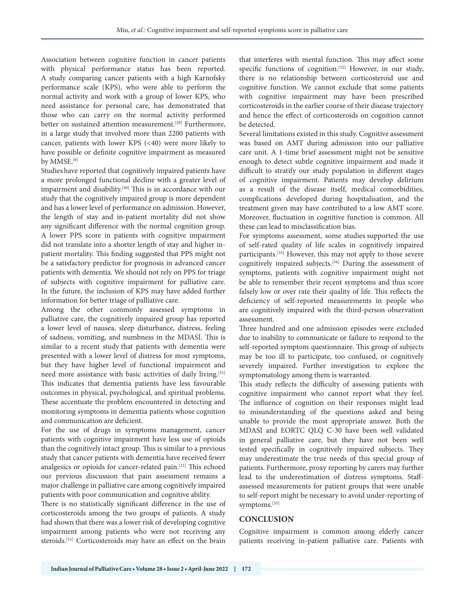Association between cognitive function in cancer patients with physical performance status has been reported. A study comparing cancer patients with a high Karnofsky performance scale (KPS), who were able to perform the normal activity and work with a group of lower KPS, who need assistance for personal care, has demonstrated that those who can carry on the normal activity performed better on sustained attention measurement.<sup>[29]</sup> Furthermore, in a large study that involved more than 2200 patients with cancer, patients with lower KPS (<40) were more likely to have possible or definite cognitive impairment as measured by MMSE.<sup>[6]</sup>

Studies have reported that cognitively impaired patients have a more prolonged functional decline with a greater level of impairment and disability.<sup>[30]</sup> This is in accordance with our study that the cognitively impaired group is more dependent and has a lower level of performance on admission. However, the length of stay and in-patient mortality did not show any significant difference with the normal cognition group. A lower PPS score in patients with cognitive impairment did not translate into a shorter length of stay and higher inpatient mortality. This finding suggested that PPS might not be a satisfactory predictor for prognosis in advanced cancer patients with dementia. We should not rely on PPS for triage of subjects with cognitive impairment for palliative care. In the future, the inclusion of KPS may have added further information for better triage of palliative care.

Among the other commonly assessed symptoms in palliative care, the cognitively impaired group has reported a lower level of nausea, sleep disturbance, distress, feeling of sadness, vomiting, and numbness in the MDASI. This is similar to a recent study that patients with dementia were presented with a lower level of distress for most symptoms, but they have higher level of functional impairment and need more assistance with basic activities of daily living.<sup>[31]</sup> This indicates that dementia patients have less favourable outcomes in physical, psychological, and spiritual problems. These accentuate the problem encountered in detecting and monitoring symptoms in dementia patients whose cognition and communication are deficient.

For the use of drugs in symptoms management, cancer patients with cognitive impairment have less use of opioids than the cognitively intact group. This is similar to a previous study that cancer patients with dementia have received fewer analgesics or opioids for cancer-related pain.[21] This echoed our previous discussion that pain assessment remains a major challenge in palliative care among cognitively impaired patients with poor communication and cognitive ability.

There is no statistically significant difference in the use of corticosteroids among the two groups of patients. A study had shown that there was a lower risk of developing cognitive impairment among patients who were not receiving any steroids.[11] Corticosteroids may have an effect on the brain

that interferes with mental function. This may affect some specific functions of cognition.<sup>[32]</sup> However, in our study, there is no relationship between corticosteroid use and cognitive function. We cannot exclude that some patients with cognitive impairment may have been prescribed corticosteroids in the earlier course of their disease trajectory and hence the effect of corticosteroids on cognition cannot be detected.

Several limitations existed in this study. Cognitive assessment was based on AMT during admission into our palliative care unit. A 1-time brief assessment might not be sensitive enough to detect subtle cognitive impairment and made it difficult to stratify our study population in different stages of cognitive impairment. Patients may develop delirium as a result of the disease itself, medical comorbidities, complications developed during hospitalisation, and the treatment given may have contributed to a low AMT score. Moreover, fluctuation in cognitive function is common. All these can lead to misclassification bias.

For symptoms assessment, some studies supported the use of self-rated quality of life scales in cognitively impaired participants.[33] However, this may not apply to those severe cognitively impaired subjects.[34] During the assessment of symptoms, patients with cognitive impairment might not be able to remember their recent symptoms and thus score falsely low or over rate their quality of life. This reflects the deficiency of self-reported measurements in people who are cognitively impaired with the third-person observation assessment.

Three hundred and one admission episodes were excluded due to inability to communicate or failure to respond to the self-reported symptom questionnaire. This group of subjects may be too ill to participate, too confused, or cognitively severely impaired. Further investigation to explore the symptomatology among them is warranted.

This study reflects the difficulty of assessing patients with cognitive impairment who cannot report what they feel. The influence of cognition on their responses might lead to misunderstanding of the questions asked and being unable to provide the most appropriate answer. Both the MDASI and EORTC QLQ C-30 have been well validated in general palliative care, but they have not been well tested specifically in cognitively impaired subjects. They may underestimate the true needs of this special group of patients. Furthermore, proxy reporting by carers may further lead to the underestimation of distress symptoms. Staffassessed measurements for patient groups that were unable to self-report might be necessary to avoid under-reporting of symptoms.[35]

## **CONCLUSION**

Cognitive impairment is common among elderly cancer patients receiving in-patient palliative care. Patients with